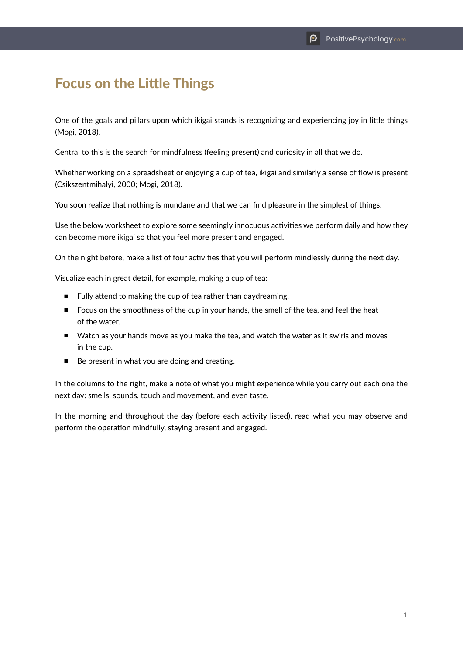## Focus on the Little Things

One of the goals and pillars upon which ikigai stands is recognizing and experiencing joy in little things (Mogi, 2018).

Central to this is the search for mindfulness (feeling present) and curiosity in all that we do.

Whether working on a spreadsheet or enjoying a cup of tea, ikigai and similarly a sense of flow is present (Csikszentmihalyi, 2000; Mogi, 2018).

You soon realize that nothing is mundane and that we can find pleasure in the simplest of things.

Use the below worksheet to explore some seemingly innocuous activities we perform daily and how they can become more ikigai so that you feel more present and engaged.

On the night before, make a list of four activities that you will perform mindlessly during the next day.

Visualize each in great detail, for example, making a cup of tea:

- Fully attend to making the cup of tea rather than daydreaming.
- Focus on the smoothness of the cup in your hands, the smell of the tea, and feel the heat of the water.
- Watch as your hands move as you make the tea, and watch the water as it swirls and moves in the cup.
- Be present in what you are doing and creating.

In the columns to the right, make a note of what you might experience while you carry out each one the next day: smells, sounds, touch and movement, and even taste.

In the morning and throughout the day (before each activity listed), read what you may observe and perform the operation mindfully, staying present and engaged.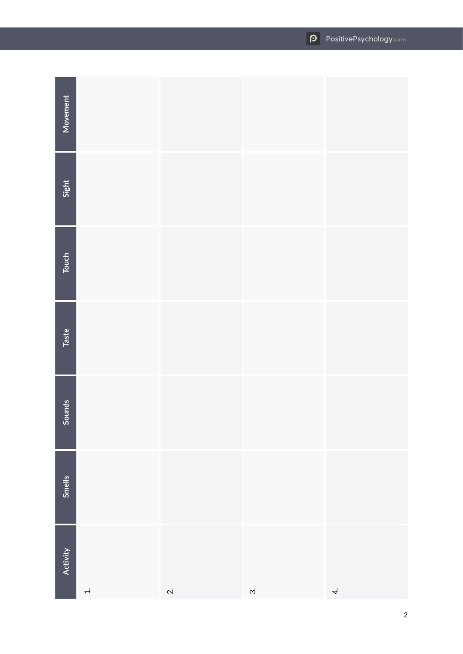| Movement        |        |              |                |     |
|-----------------|--------|--------------|----------------|-----|
| Sight           |        |              |                |     |
| Touch           |        |              |                |     |
| Taste           |        |              |                |     |
| Sounds          |        |              |                |     |
| Smells          |        |              |                |     |
| <b>Activity</b> | $\div$ | $\dot{\sim}$ | $\dot{\infty}$ | $4$ |

2

## **PositivePsychology.com**